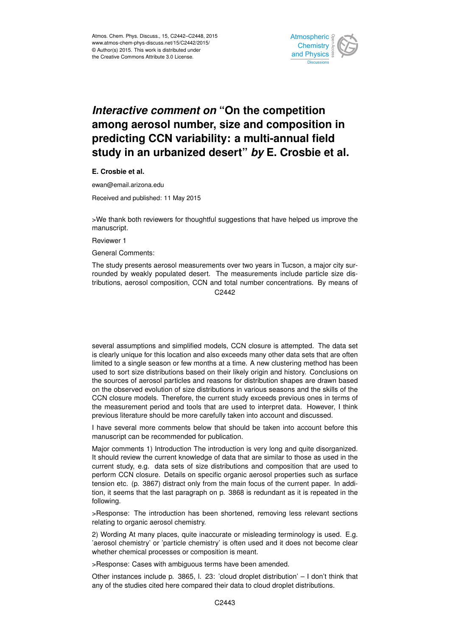

## *Interactive comment on* **"On the competition among aerosol number, size and composition in predicting CCN variability: a multi-annual field study in an urbanized desert"** *by* **E. Crosbie et al.**

**E. Crosbie et al.**

ewan@email.arizona.edu

Received and published: 11 May 2015

>We thank both reviewers for thoughtful suggestions that have helped us improve the manuscript.

Reviewer 1

General Comments:

The study presents aerosol measurements over two years in Tucson, a major city surrounded by weakly populated desert. The measurements include particle size distributions, aerosol composition, CCN and total number concentrations. By means of C<sub>2442</sub>

several assumptions and simplified models, CCN closure is attempted. The data set is clearly unique for this location and also exceeds many other data sets that are often limited to a single season or few months at a time. A new clustering method has been used to sort size distributions based on their likely origin and history. Conclusions on the sources of aerosol particles and reasons for distribution shapes are drawn based on the observed evolution of size distributions in various seasons and the skills of the CCN closure models. Therefore, the current study exceeds previous ones in terms of the measurement period and tools that are used to interpret data. However, I think previous literature should be more carefully taken into account and discussed.

I have several more comments below that should be taken into account before this manuscript can be recommended for publication.

Major comments 1) Introduction The introduction is very long and quite disorganized. It should review the current knowledge of data that are similar to those as used in the current study, e.g. data sets of size distributions and composition that are used to perform CCN closure. Details on specific organic aerosol properties such as surface tension etc. (p. 3867) distract only from the main focus of the current paper. In addition, it seems that the last paragraph on p. 3868 is redundant as it is repeated in the following.

>Response: The introduction has been shortened, removing less relevant sections relating to organic aerosol chemistry.

2) Wording At many places, quite inaccurate or misleading terminology is used. E.g. 'aerosol chemistry' or 'particle chemistry' is often used and it does not become clear whether chemical processes or composition is meant.

>Response: Cases with ambiguous terms have been amended.

Other instances include p. 3865, l. 23: 'cloud droplet distribution' – I don't think that any of the studies cited here compared their data to cloud droplet distributions.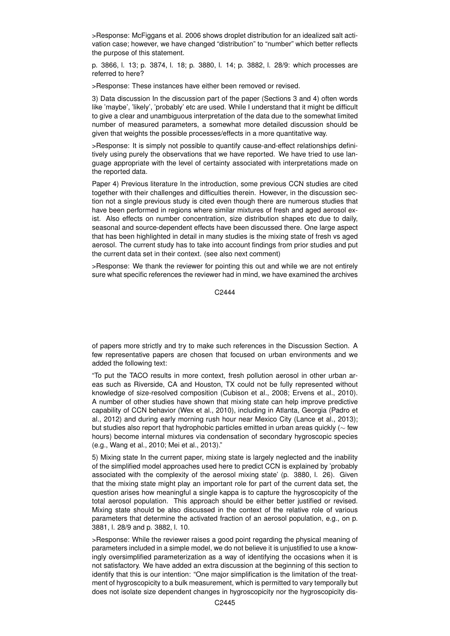>Response: McFiggans et al. 2006 shows droplet distribution for an idealized salt activation case; however, we have changed "distribution" to "number" which better reflects the purpose of this statement.

p. 3866, l. 13; p. 3874, l. 18; p. 3880, l. 14; p. 3882, l. 28/9: which processes are referred to here?

>Response: These instances have either been removed or revised.

3) Data discussion In the discussion part of the paper (Sections 3 and 4) often words like 'maybe', 'likely', 'probably' etc are used. While I understand that it might be difficult to give a clear and unambiguous interpretation of the data due to the somewhat limited number of measured parameters, a somewhat more detailed discussion should be given that weights the possible processes/effects in a more quantitative way.

>Response: It is simply not possible to quantify cause-and-effect relationships definitively using purely the observations that we have reported. We have tried to use language appropriate with the level of certainty associated with interpretations made on the reported data.

Paper 4) Previous literature In the introduction, some previous CCN studies are cited together with their challenges and difficulties therein. However, in the discussion section not a single previous study is cited even though there are numerous studies that have been performed in regions where similar mixtures of fresh and aged aerosol exist. Also effects on number concentration, size distribution shapes etc due to daily, seasonal and source-dependent effects have been discussed there. One large aspect that has been highlighted in detail in many studies is the mixing state of fresh vs aged aerosol. The current study has to take into account findings from prior studies and put the current data set in their context. (see also next comment)

>Response: We thank the reviewer for pointing this out and while we are not entirely sure what specific references the reviewer had in mind, we have examined the archives

C2444

of papers more strictly and try to make such references in the Discussion Section. A few representative papers are chosen that focused on urban environments and we added the following text:

"To put the TACO results in more context, fresh pollution aerosol in other urban areas such as Riverside, CA and Houston, TX could not be fully represented without knowledge of size-resolved composition (Cubison et al., 2008; Ervens et al., 2010). A number of other studies have shown that mixing state can help improve predictive capability of CCN behavior (Wex et al., 2010), including in Atlanta, Georgia (Padro et al., 2012) and during early morning rush hour near Mexico City (Lance et al., 2013); but studies also report that hydrophobic particles emitted in urban areas quickly (∼ few hours) become internal mixtures via condensation of secondary hygroscopic species (e.g., Wang et al., 2010; Mei et al., 2013)."

5) Mixing state In the current paper, mixing state is largely neglected and the inability of the simplified model approaches used here to predict CCN is explained by 'probably associated with the complexity of the aerosol mixing state' (p. 3880, l. 26). Given that the mixing state might play an important role for part of the current data set, the question arises how meaningful a single kappa is to capture the hygroscopicity of the total aerosol population. This approach should be either better justified or revised. Mixing state should be also discussed in the context of the relative role of various parameters that determine the activated fraction of an aerosol population, e.g., on p. 3881, l. 28/9 and p. 3882, l. 10.

>Response: While the reviewer raises a good point regarding the physical meaning of parameters included in a simple model, we do not believe it is unjustified to use a knowingly oversimplified parameterization as a way of identifying the occasions when it is not satisfactory. We have added an extra discussion at the beginning of this section to identify that this is our intention: "One major simplification is the limitation of the treatment of hygroscopicity to a bulk measurement, which is permitted to vary temporally but does not isolate size dependent changes in hygroscopicity nor the hygroscopicity dis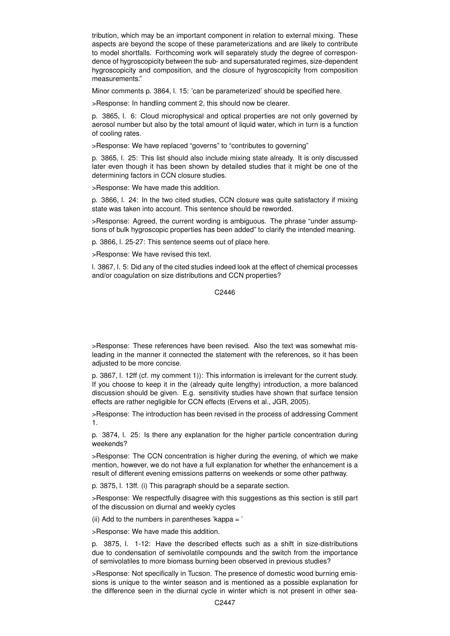tribution, which may be an important component in relation to external mixing. These aspects are beyond the scope of these parameterizations and are likely to contribute to model shortfalls. Forthcoming work will separately study the degree of correspondence of hygroscopicity between the sub- and supersaturated regimes, size-dependent hygroscopicity and composition, and the closure of hygroscopicity from composition measurements."

Minor comments p. 3864, l. 15: 'can be parameterized' should be specified here.

>Response: In handling comment 2, this should now be clearer.

p. 3865, l. 6: Cloud microphysical and optical properties are not only governed by aerosol number but also by the total amount of liquid water, which in turn is a function of cooling rates.

>Response: We have replaced "governs" to "contributes to governing"

p. 3865, l. 25: This list should also include mixing state already. It is only discussed later even though it has been shown by detailed studies that it might be one of the determining factors in CCN closure studies.

>Response: We have made this addition.

p. 3866, l. 24: In the two cited studies, CCN closure was quite satisfactory if mixing state was taken into account. This sentence should be reworded.

>Response: Agreed, the current wording is ambiguous. The phrase "under assumptions of bulk hygroscopic properties has been added" to clarify the intended meaning.

p. 3866, l. 25-27: This sentence seems out of place here.

>Response: We have revised this text.

l. 3867, l. 5: Did any of the cited studies indeed look at the effect of chemical processes and/or coagulation on size distributions and CCN properties?

C2446

>Response: These references have been revised. Also the text was somewhat misleading in the manner it connected the statement with the references, so it has been adjusted to be more concise.

p. 3867, l. 12ff (cf. my comment 1)): This information is irrelevant for the current study. If you choose to keep it in the (already quite lengthy) introduction, a more balanced discussion should be given. E.g. sensitivity studies have shown that surface tension effects are rather negligible for CCN effects (Ervens et al., JGR, 2005).

>Response: The introduction has been revised in the process of addressing Comment 1.

p. 3874, l. 25: Is there any explanation for the higher particle concentration during weekends?

>Response: The CCN concentration is higher during the evening, of which we make mention, however, we do not have a full explanation for whether the enhancement is a result of different evening emissions patterns on weekends or some other pathway.

p. 3875, l. 13ff. (i) This paragraph should be a separate section.

>Response: We respectfully disagree with this suggestions as this section is still part of the discussion on diurnal and weekly cycles

(ii) Add to the numbers in parentheses 'kappa  $=$  '

>Response: We have made this addition.

p. 3875, l. 1-12: Have the described effects such as a shift in size-distributions due to condensation of semivolatile compounds and the switch from the importance of semivolatiles to more biomass burning been observed in previous studies?

>Response: Not specifically in Tucson. The presence of domestic wood burning emissions is unique to the winter season and is mentioned as a possible explanation for the difference seen in the diurnal cycle in winter which is not present in other sea